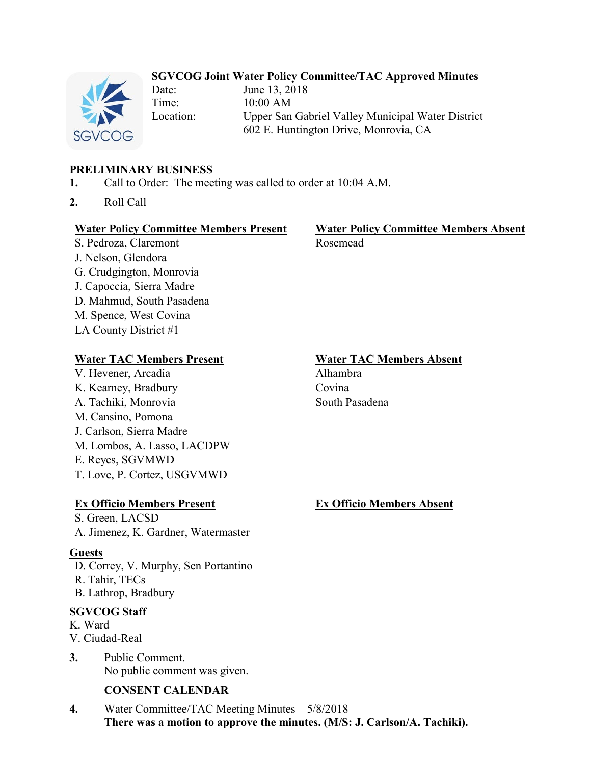# **SGVCOG Joint Water Policy Committee/TAC Approved Minutes**

Date: June 13, 2018 Time: 10:00 AM Location: Upper San Gabriel Valley Municipal Water District 602 E. Huntington Drive, Monrovia, CA

# **PRELIMINARY BUSINESS**

- **1.** Call to Order: The meeting was called to order at 10:04 A.M.
- **2.** Roll Call

#### **Water Policy Committee Members Present Water Policy Committee Members Absent**

S. Pedroza, Claremont Rosemead J. Nelson, Glendora G. Crudgington, Monrovia J. Capoccia, Sierra Madre D. Mahmud, South Pasadena M. Spence, West Covina LA County District #1

## **Water TAC Members Present Water TAC Members Absent**

V. Hevener, Arcadia Alhambra K. Kearney, Bradbury Covina A. Tachiki, Monrovia South Pasadena M. Cansino, Pomona J. Carlson, Sierra Madre M. Lombos, A. Lasso, LACDPW E. Reyes, SGVMWD T. Love, P. Cortez, USGVMWD

# **Ex Officio Members Present Ex Officio Members Absent**

S. Green, LACSD A. Jimenez, K. Gardner, Watermaster

## **Guests**

D. Correy, V. Murphy, Sen Portantino R. Tahir, TECs B. Lathrop, Bradbury

## **SGVCOG Staff**

K. Ward

- V. Ciudad-Real
- **3.** Public Comment. No public comment was given.

# **CONSENT CALENDAR**

**4.** Water Committee/TAC Meeting Minutes – 5/8/2018 **There was a motion to approve the minutes. (M/S: J. Carlson/A. Tachiki).**

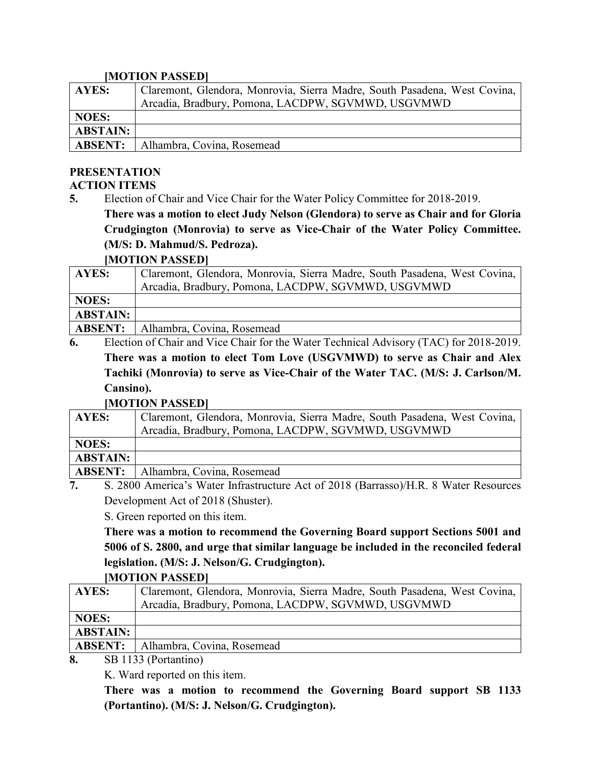#### **[MOTION PASSED]**

| <b>AYES:</b>    | Claremont, Glendora, Monrovia, Sierra Madre, South Pasadena, West Covina, |
|-----------------|---------------------------------------------------------------------------|
|                 | Arcadia, Bradbury, Pomona, LACDPW, SGVMWD, USGVMWD                        |
| <b>NOES:</b>    |                                                                           |
| <b>ABSTAIN:</b> |                                                                           |
| <b>ABSENT:</b>  | Alhambra, Covina, Rosemead                                                |

#### **PRESENTATION ACTION ITEMS**

**5.** Election of Chair and Vice Chair for the Water Policy Committee for 2018-2019.

**There was a motion to elect Judy Nelson (Glendora) to serve as Chair and for Gloria Crudgington (Monrovia) to serve as Vice-Chair of the Water Policy Committee. (M/S: D. Mahmud/S. Pedroza).**

## **[MOTION PASSED]**

| <b>AYES:</b>                                                                                    | Claremont, Glendora, Monrovia, Sierra Madre, South Pasadena, West Covina, |
|-------------------------------------------------------------------------------------------------|---------------------------------------------------------------------------|
|                                                                                                 | Arcadia, Bradbury, Pomona, LACDPW, SGVMWD, USGVMWD                        |
| <b>NOES:</b>                                                                                    |                                                                           |
| <b>ABSTAIN:</b>                                                                                 |                                                                           |
| <b>ABSENT:</b>                                                                                  | Alhambra, Covina, Rosemead                                                |
| Election of Chair and Vias Chair for the Water Technical Advisory $(TAC)$ for $2018, 2010$<br>ĸ |                                                                           |

**6.** Election of Chair and Vice Chair for the Water Technical Advisory (TAC) for 2018-2019. **There was a motion to elect Tom Love (USGVMWD) to serve as Chair and Alex Tachiki (Monrovia) to serve as Vice-Chair of the Water TAC. (M/S: J. Carlson/M. Cansino).**

## **[MOTION PASSED]**

| <b>AYES:</b>                                                                                       | Claremont, Glendora, Monrovia, Sierra Madre, South Pasadena, West Covina, |  |
|----------------------------------------------------------------------------------------------------|---------------------------------------------------------------------------|--|
|                                                                                                    | Arcadia, Bradbury, Pomona, LACDPW, SGVMWD, USGVMWD                        |  |
| <b>NOES:</b>                                                                                       |                                                                           |  |
| <b>ABSTAIN:</b>                                                                                    |                                                                           |  |
| <b>ABSENT:</b>                                                                                     | Alhambra, Covina, Rosemead                                                |  |
| $\mathcal{L}$ 2800 America's Weter Infrastructure Act of 2018 (Decrees) LID 8 Weter Deseurces<br>ៗ |                                                                           |  |

**7.** S. 2800 America's Water Infrastructure Act of 2018 (Barrasso)/H.R. 8 Water Resources Development Act of 2018 (Shuster).

S. Green reported on this item.

**There was a motion to recommend the Governing Board support Sections 5001 and 5006 of S. 2800, and urge that similar language be included in the reconciled federal legislation. (M/S: J. Nelson/G. Crudgington).**

## **[MOTION PASSED]**

| <b>AYES:</b>                               | Claremont, Glendora, Monrovia, Sierra Madre, South Pasadena, West Covina, |
|--------------------------------------------|---------------------------------------------------------------------------|
|                                            | Arcadia, Bradbury, Pomona, LACDPW, SGVMWD, USGVMWD                        |
| <b>NOES:</b>                               |                                                                           |
| <b>ABSTAIN:</b>                            |                                                                           |
| <b>ABSENT:</b>                             | Alhambra, Covina, Rosemead                                                |
| $CD_{11}$ $AD_{1}$ $D_{1}$<br>$\mathbf{a}$ |                                                                           |

**8.** SB 1133 (Portantino)

K. Ward reported on this item.

**There was a motion to recommend the Governing Board support SB 1133 (Portantino). (M/S: J. Nelson/G. Crudgington).**